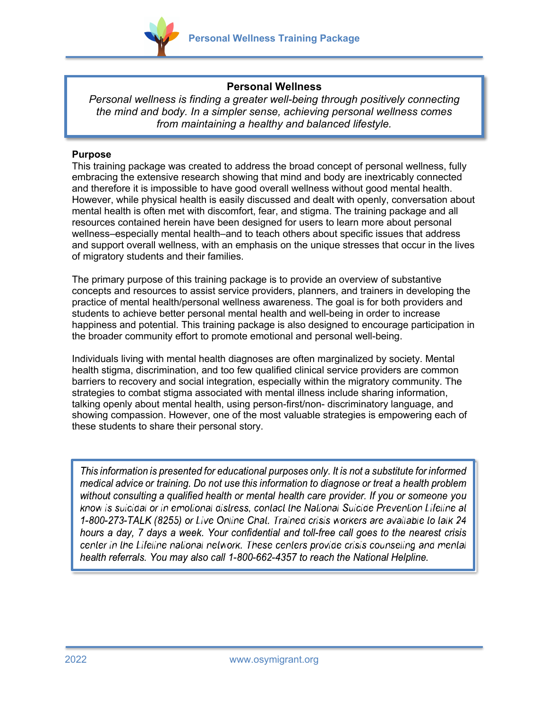

# **Personal Wellness**

*Personal wellness is finding a greater well-being through positively connecting the mind and body. In a simpler sense, achieving personal wellness comes from maintaining a healthy and balanced lifestyle.*

### **Purpose**

This training package was created to address the broad concept of personal wellness, fully embracing the extensive research showing that mind and body are inextricably connected and therefore it is impossible to have good overall wellness without good mental health. However, while physical health is easily discussed and dealt with openly, conversation about mental health is often met with discomfort, fear, and stigma. The training package and all resources contained herein have been designed for users to learn more about personal wellness–especially mental health–and to teach others about specific issues that address and support overall wellness, with an emphasis on the unique stresses that occur in the lives of migratory students and their families.

The primary purpose of this training package is to provide an overview of substantive concepts and resources to assist service providers, planners, and trainers in developing the practice of mental health/personal wellness awareness. The goal is for both providers and students to achieve better personal mental health and well-being in order to increase happiness and potential. This training package is also designed to encourage participation in the broader community effort to promote emotional and personal well-being.

Individuals living with mental health diagnoses are often marginalized by society. Mental health stigma, discrimination, and too few qualified clinical service providers are common barriers to recovery and social integration, especially within the migratory community. The strategies to combat stigma associated with mental illness include sharing information, talking openly about mental health, using person-first/non- discriminatory language, and showing compassion. However, one of the most valuable strategies is empowering each of these students to share their personal story.

This information is presented for educational purposes only. It is not a substitute for informed medical advice or training. Do not use this information to diagnose or treat a health problem without consulting a qualified health or mental health care provider. If you or someone you know is suicidal or in emolional distress, contact the National Suicide Prevention Lifeline at 1-800-273-TALK (8255) or Live Online Chal. Trained crisis workers are available to talk 24 hours a day, 7 days a week. Your confidential and toll-free call goes to the nearest crisis center in the Lifeline national network. These centers provide crisis counseling and mental health referrals. You may also call 1-800-662-4357 to reach the National Helpline.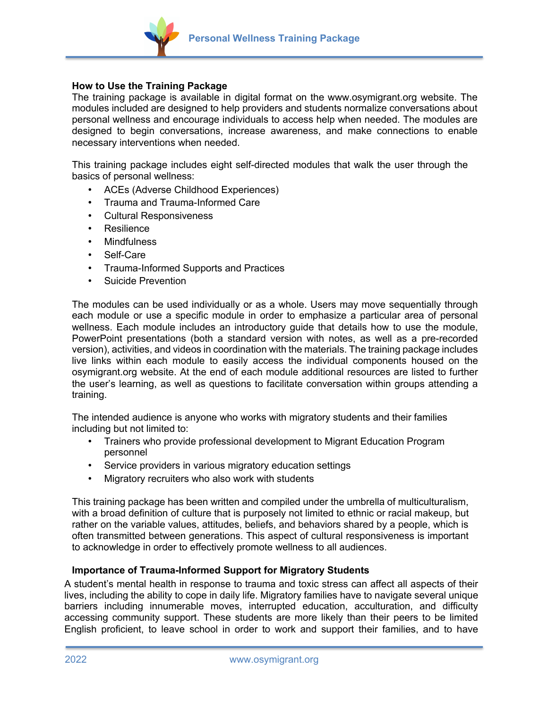

### **How to Use the Training Package**

The training package is available in digital format on the www.osymigrant.org website. The modules included are designed to help providers and students normalize conversations about personal wellness and encourage individuals to access help when needed. The modules are designed to begin conversations, increase awareness, and make connections to enable necessary interventions when needed.

This training package includes eight self-directed modules that walk the user through the basics of personal wellness:

- ACEs (Adverse Childhood Experiences)
- Trauma and Trauma-Informed Care
- Cultural Responsiveness
- Resilience
- **Mindfulness**
- Self-Care
- Trauma-Informed Supports and Practices
- Suicide Prevention

The modules can be used individually or as a whole. Users may move sequentially through each module or use a specific module in order to emphasize a particular area of personal wellness. Each module includes an introductory guide that details how to use the module, PowerPoint presentations (both a standard version with notes, as well as a pre-recorded version), activities, and videos in coordination with the materials. The training package includes live links within each module to easily access the individual components housed on the osymigrant.org website. At the end of each module additional resources are listed to further the user's learning, as well as questions to facilitate conversation within groups attending a training.

The intended audience is anyone who works with migratory students and their families including but not limited to:

- Trainers who provide professional development to Migrant Education Program personnel
- Service providers in various migratory education settings
- Migratory recruiters who also work with students

This training package has been written and compiled under the umbrella of multiculturalism, with a broad definition of culture that is purposely not limited to ethnic or racial makeup, but rather on the variable values, attitudes, beliefs, and behaviors shared by a people, which is often transmitted between generations. This aspect of cultural responsiveness is important to acknowledge in order to effectively promote wellness to all audiences.

#### **Importance of Trauma-Informed Support for Migratory Students**

A student's mental health in response to trauma and toxic stress can affect all aspects of their lives, including the ability to cope in daily life. Migratory families have to navigate several unique barriers including innumerable moves, interrupted education, acculturation, and difficulty accessing community support. These students are more likely than their peers to be limited English proficient, to leave school in order to work and support their families, and to have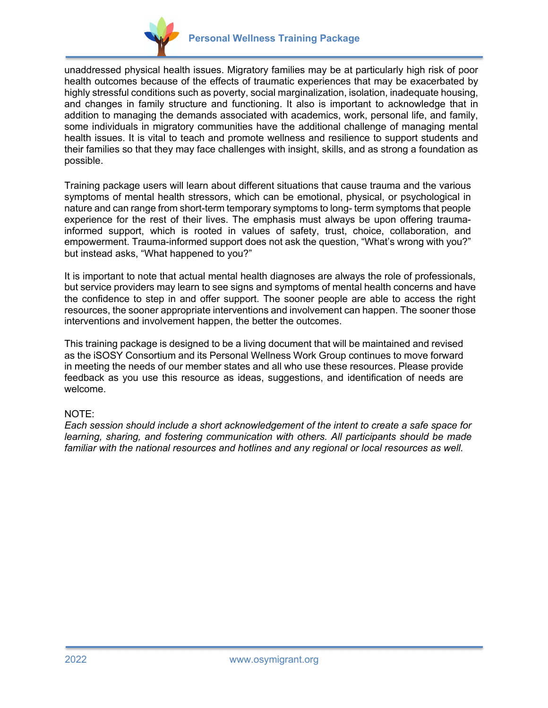

unaddressed physical health issues. Migratory families may be at particularly high risk of poor health outcomes because of the effects of traumatic experiences that may be exacerbated by highly stressful conditions such as poverty, social marginalization, isolation, inadequate housing, and changes in family structure and functioning. It also is important to acknowledge that in addition to managing the demands associated with academics, work, personal life, and family, some individuals in migratory communities have the additional challenge of managing mental health issues. It is vital to teach and promote wellness and resilience to support students and their families so that they may face challenges with insight, skills, and as strong a foundation as possible.

Training package users will learn about different situations that cause trauma and the various symptoms of mental health stressors, which can be emotional, physical, or psychological in nature and can range from short-term temporary symptoms to long- term symptoms that people experience for the rest of their lives. The emphasis must always be upon offering traumainformed support, which is rooted in values of safety, trust, choice, collaboration, and empowerment. Trauma-informed support does not ask the question, "What's wrong with you?" but instead asks, "What happened to you?"

It is important to note that actual mental health diagnoses are always the role of professionals, but service providers may learn to see signs and symptoms of mental health concerns and have the confidence to step in and offer support. The sooner people are able to access the right resources, the sooner appropriate interventions and involvement can happen. The sooner those interventions and involvement happen, the better the outcomes.

This training package is designed to be a living document that will be maintained and revised as the iSOSY Consortium and its Personal Wellness Work Group continues to move forward in meeting the needs of our member states and all who use these resources. Please provide feedback as you use this resource as ideas, suggestions, and identification of needs are welcome.

# NOTE:

*Each session should include a short acknowledgement of the intent to create a safe space for learning, sharing, and fostering communication with others. All participants should be made familiar with the national resources and hotlines and any regional or local resources as well.*